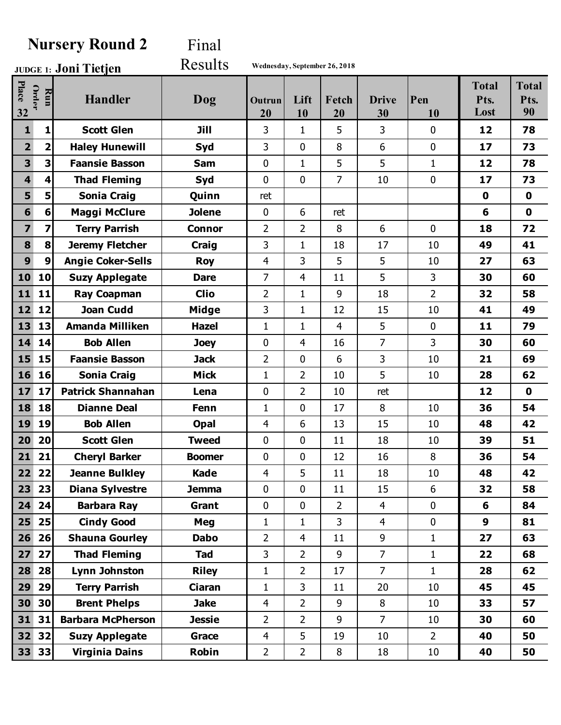## **Nursery Round 2** Final

**Joni Tietjen JUDGE 1:** Results **Wednesday, September 26, 2018**

| Place<br>32             | Order<br>Run            | <b>Handler</b>           | Dog           | Outrun<br>20   | Lift<br>10     | Fetch<br>20    | <b>Drive</b><br>30 | Pen<br>10      | <b>Total</b><br>Pts.<br>Lost | <b>Total</b><br>Pts.<br>90 |
|-------------------------|-------------------------|--------------------------|---------------|----------------|----------------|----------------|--------------------|----------------|------------------------------|----------------------------|
| $\mathbf{1}$            | 1                       | <b>Scott Glen</b>        | Jill          | 3              | 1              | 5              | $\overline{3}$     | $\mathbf 0$    | 12                           | 78                         |
| 2 <sup>1</sup>          | 2                       | <b>Haley Hunewill</b>    | Syd           | 3              | $\mathbf 0$    | 8              | 6                  | $\mathbf 0$    | 17                           | 73                         |
| 3                       | 3                       | <b>Faansie Basson</b>    | Sam           | $\mathbf{0}$   | $\mathbf{1}$   | 5              | 5                  | $\mathbf{1}$   | 12                           | 78                         |
| $\overline{\mathbf{4}}$ | $\overline{\mathbf{4}}$ | <b>Thad Fleming</b>      | Syd           | $\mathbf 0$    | $\mathbf 0$    | $\overline{7}$ | 10                 | $\mathbf 0$    | 17                           | 73                         |
| 5                       | 5                       | <b>Sonia Craig</b>       | Quinn         | ret            |                |                |                    |                | $\mathbf 0$                  | $\mathbf 0$                |
| $6\phantom{1}$          | 6                       | <b>Maggi McClure</b>     | <b>Jolene</b> | $\mathbf 0$    | 6              | ret            |                    |                | 6                            | $\mathbf 0$                |
| $\overline{7}$          | 7                       | <b>Terry Parrish</b>     | <b>Connor</b> | $\overline{2}$ | $\overline{2}$ | 8              | 6                  | $\mathbf 0$    | 18                           | 72                         |
| 8                       | 8                       | <b>Jeremy Fletcher</b>   | <b>Craig</b>  | 3              | $\mathbf{1}$   | 18             | 17                 | 10             | 49                           | 41                         |
| 9                       | 9                       | <b>Angie Coker-Sells</b> | <b>Roy</b>    | 4              | 3              | 5              | 5                  | 10             | 27                           | 63                         |
| 10                      | 10                      | <b>Suzy Applegate</b>    | <b>Dare</b>   | $\overline{7}$ | 4              | 11             | 5                  | 3              | 30                           | 60                         |
| 11                      | 11                      | <b>Ray Coapman</b>       | <b>Clio</b>   | $\overline{2}$ | $\mathbf{1}$   | 9              | 18                 | $\overline{2}$ | 32                           | 58                         |
| 12                      | 12                      | <b>Joan Cudd</b>         | <b>Midge</b>  | 3              | $\mathbf{1}$   | 12             | 15                 | 10             | 41                           | 49                         |
| 13                      | 13                      | <b>Amanda Milliken</b>   | <b>Hazel</b>  | $\mathbf{1}$   | $\mathbf{1}$   | $\overline{4}$ | 5                  | $\mathbf{0}$   | 11                           | 79                         |
| 14                      | 14                      | <b>Bob Allen</b>         | Joey          | $\mathbf{0}$   | 4              | 16             | $\overline{7}$     | 3              | 30                           | 60                         |
| 15                      | 15                      | <b>Faansie Basson</b>    | <b>Jack</b>   | $\overline{2}$ | $\mathbf 0$    | 6              | 3                  | 10             | 21                           | 69                         |
| 16                      | 16                      | <b>Sonia Craig</b>       | <b>Mick</b>   | $\mathbf{1}$   | $\overline{2}$ | 10             | 5                  | 10             | 28                           | 62                         |
| 17                      | 17                      | <b>Patrick Shannahan</b> | Lena          | $\mathbf 0$    | $\overline{2}$ | 10             | ret                |                | 12                           | $\mathbf 0$                |
| 18                      | 18                      | <b>Dianne Deal</b>       | <b>Fenn</b>   | $\mathbf{1}$   | 0              | 17             | 8                  | 10             | 36                           | 54                         |
| 19                      | 19                      | <b>Bob Allen</b>         | Opal          | 4              | 6              | 13             | 15                 | 10             | 48                           | 42                         |
| 20                      | 20                      | <b>Scott Glen</b>        | <b>Tweed</b>  | $\mathbf{0}$   | $\mathbf 0$    | 11             | 18                 | 10             | 39                           | 51                         |
| 21                      | 21                      | <b>Cheryl Barker</b>     | <b>Boomer</b> | $\mathbf 0$    | $\mathbf 0$    | 12             | 16                 | 8              | 36                           | 54                         |
| 22                      | 22                      | <b>Jeanne Bulkley</b>    | <b>Kade</b>   | 4              | 5              | 11             | 18                 | 10             | 48                           | 42                         |
| 23                      | 23                      | <b>Diana Sylvestre</b>   | <b>Jemma</b>  | $\mathbf 0$    | $\mathbf 0$    | 11             | 15                 | 6              | 32                           | 58                         |
| 24                      | 24                      | <b>Barbara Ray</b>       | Grant         | $\mathbf 0$    | $\mathbf 0$    | $\overline{2}$ | $\overline{4}$     | $\mathbf 0$    | 6                            | 84                         |
| 25                      | 25                      | <b>Cindy Good</b>        | Meg           | $\mathbf{1}$   | $\mathbf{1}$   | 3              | $\overline{4}$     | $\mathbf 0$    | 9                            | 81                         |
| 26                      | 26                      | <b>Shauna Gourley</b>    | <b>Dabo</b>   | $\overline{2}$ | 4              | 11             | 9                  | $\mathbf{1}$   | 27                           | 63                         |
| 27                      | 27                      | <b>Thad Fleming</b>      | <b>Tad</b>    | 3              | $\overline{2}$ | 9              | $\overline{7}$     | $\mathbf{1}$   | 22                           | 68                         |
| 28                      | 28                      | Lynn Johnston            | <b>Riley</b>  | 1              | $\overline{2}$ | 17             | $\overline{7}$     | $\mathbf{1}$   | 28                           | 62                         |
| 29                      | 29                      | <b>Terry Parrish</b>     | Ciaran        | $\mathbf{1}$   | 3              | 11             | 20                 | 10             | 45                           | 45                         |
| 30 <sup>1</sup>         | 30 <sub>l</sub>         | <b>Brent Phelps</b>      | <b>Jake</b>   | $\overline{4}$ | $\overline{2}$ | 9              | 8                  | 10             | 33                           | 57                         |
| 31                      | 31                      | <b>Barbara McPherson</b> | <b>Jessie</b> | $\overline{2}$ | $\overline{2}$ | 9              | $\overline{7}$     | 10             | 30                           | 60                         |
| 32                      | 32                      | <b>Suzy Applegate</b>    | Grace         | $\overline{4}$ | 5              | 19             | 10                 | $\overline{2}$ | 40                           | 50                         |
|                         | 33 33                   | <b>Virginia Dains</b>    | Robin         | $\overline{2}$ | $\overline{2}$ | 8              | 18                 | 10             | 40                           | 50                         |